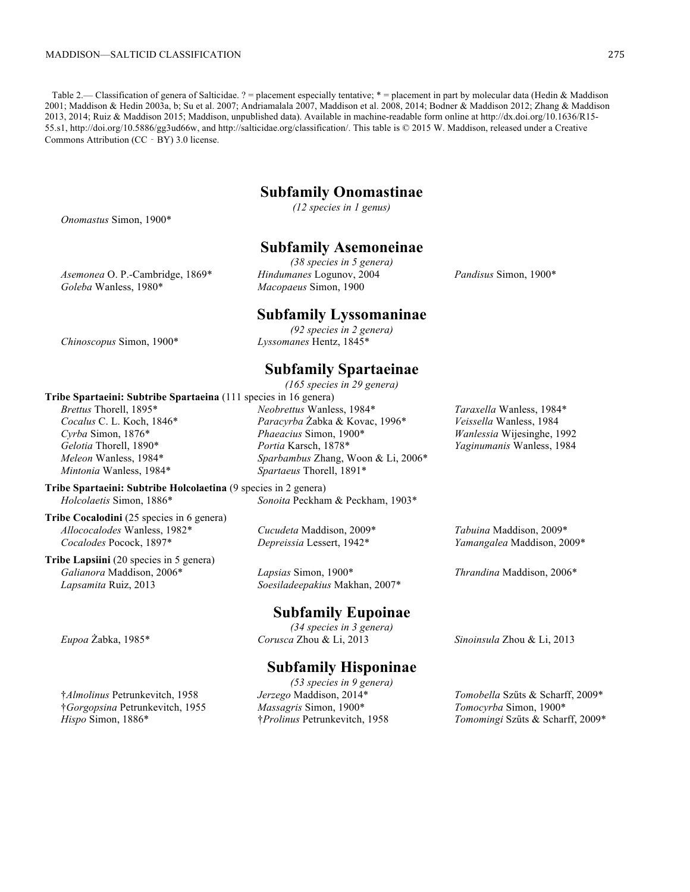Table 2.— Classification of genera of Salticidae. ? = placement especially tentative; \* = placement in part by molecular data (Hedin & Maddison 2001; Maddison & Hedin 2003a, b; Su et al. 2007; Andriamalala 2007, Maddison et al. 2008, 2014; Bodner & Maddison 2012; Zhang & Maddison 2013, 2014; Ruiz & Maddison 2015; Maddison, unpublished data). Available in machine-readable form online at [http://dx.doi.org/10.1636/R15-](http://dx.doi.org/10.1636/R15-55.s1) [55.s1,](http://dx.doi.org/10.1636/R15-55.s1)<http://doi.org/10.5886/gg3ud66w>, and<http://salticidae.org/classification/>. This table is © 2015 W. Maddison, released under a Creative Commons Attribution (CC‐BY) 3.0 license.

### **Subfamily Onomastinae**

*(12 species in 1 genus)*

### *Onomastus* Simon, 1900\*

*Goleba* Wanless, 1980\*

*Brettus* Thorell, 1895\* *Cocalus* C. L. Koch, 1846\* *Cyrba* Simon, 1876\* *Gelotia* Thorell, 1890\* *Meleon* Wanless, 1984\* *Mintonia* Wanless, 1984\*

# *Asemonea* O. P.-Cambridge, 1869\*

**Subfamily Asemoneinae** *(38 species in 5 genera) Hindumanes* Logunov, 2004 *Macopaeus* Simon, 1900

#### **Subfamily Lyssomaninae**

*(92 species in 2 genera) Chinoscopus* Simon, 1900\* *Lyssomanes* Hentz, 1845\*

### **Subfamily Spartaeinae**

*(165 species in 29 genera)* **Tribe Spartaeini: Subtribe Spartaeina** (111 species in 16 genera) *Neobrettus* Wanless, 1984\* *Paracyrba* Żabka & Kovac, 1996\* *Phaeacius* Simon, 1900\* *Portia* Karsch, 1878\* *Sparbambus* Zhang, Woon & Li, 2006\* *Spartaeus* Thorell, 1891\*

**Tribe Spartaeini: Subtribe Holcolaetina** (9 species in 2 genera) *Holcolaetis* Simon, 1886\* *Sonoita* Peckham & Peckham, 1903\*

**Tribe Cocalodini** (25 species in 6 genera) *Allococalodes* Wanless, 1982\* *Cocalodes* Pocock, 1897\*

**Tribe Lapsiini** (20 species in 5 genera) *Galianora* Maddison, 2006\* *Lapsamita* Ruiz, 2013

*Cucudeta* Maddison, 2009\* *Depreissia* Lessert, 1942\*

*Lapsias* Simon, 1900\* *Soesiladeepakius* Makhan, 2007\*

# **Subfamily Eupoinae**

*(34 species in 3 genera) Eupoa* Żabka, 1985\* *Corusca* Zhou & Li, 2013 *Sinoinsula* Zhou & Li, 2013

# **Subfamily Hisponinae**

*(53 species in 9 genera) Jerzego* Maddison, 2014\* *Massagris* Simon, 1900\* †*Prolinus* Petrunkevitch, 1958

*Taraxella* Wanless, 1984\* *Veissella* Wanless, 1984 *Wanlessia* Wijesinghe, 1992 *Yaginumanis* Wanless, 1984

*Tabuina* Maddison, 2009\* *Yamangalea* Maddison, 2009\*

*Thrandina* Maddison, 2006\*

*Tomobella* Szűts & Scharff, 2009\* *Tomocyrba* Simon, 1900\* *Tomomingi* Szűts & Scharff, 2009\*

*Pandisus* Simon, 1900\*

†*Almolinus* Petrunkevitch, 1958 †*Gorgopsina* Petrunkevitch, 1955 *Hispo* Simon, 1886\*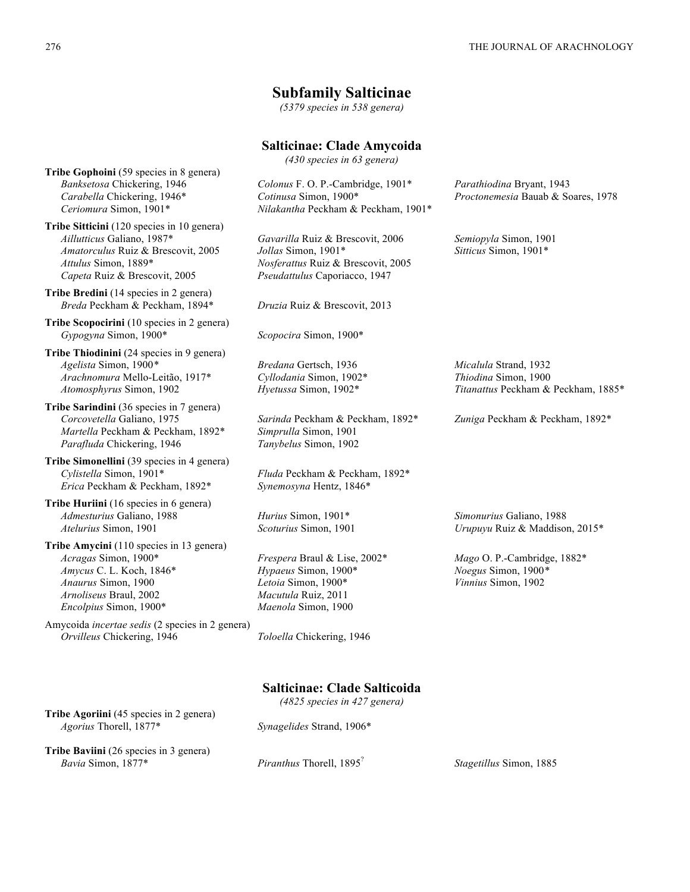### **Subfamily Salticinae**

*(5379 species in 538 genera)*

# **Salticinae: Clade Amycoida**

*(430 species in 63 genera)*

*Colonus* F. O. P.-Cambridge, 1901\* *Cotinusa* Simon, 1900\* *Nilakantha* Peckham & Peckham, 1901\*

*Gavarilla* Ruiz & Brescovit, 2006 *Jollas* Simon, 1901\* *Nosferattus* Ruiz & Brescovit, 2005 *Pseudattulus* Caporiacco, 1947

*Bredana* Gertsch, 1936 *Cyllodania* Simon, 1902\* *Hyetussa* Simon, 1902\*

*Sarinda* Peckham & Peckham, 1892\* *Simprulla* Simon, 1901 *Tanybelus* Simon, 1902

*Fluda* Peckham & Peckham, 1892\* *Synemosyna* Hentz, 1846\*

*Hurius* Simon, 1901\* *Scoturius* Simon, 1901

*Frespera* Braul & Lise, 2002\* *Hypaeus* Simon, 1900\* *Letoia* Simon, 1900\* *Macutula* Ruiz, 2011 *Maenola* Simon, 1900

*Parathiodina* Bryant, 1943 *Proctonemesia* Bauab & Soares, 1978

*Semiopyla* Simon, 1901 *Sitticus* Simon, 1901\*

*Micalula* Strand, 1932 *Thiodina* Simon, 1900 *Titanattus* Peckham & Peckham, 1885\*

*Zuniga* Peckham & Peckham, 1892\*

*Simonurius* Galiano, 1988 *Urupuyu* Ruiz & Maddison, 2015\*

*Mago* O. P.-Cambridge, 1882\* *Noegus* Simon, 1900*\* Vinnius* Simon, 1902

# **Salticinae: Clade Salticoida**

*(4825 species in 427 genera)*

**Tribe Agoriini** (45 species in 2 genera) *Agorius* Thorell, 1877\* *Synagelides* Strand, 1906\*

**Tribe Baviini** (26 species in 3 genera) *Bavia* Simon, 1877\* *Piranthus* Thorell, 1895? *Stagetillus* Simon, 1885

**Tribe Gophoini** (59 species in 8 genera) *Banksetosa* Chickering, 1946 *Carabella* Chickering, 1946\* *Ceriomura* Simon, 1901\*

**Tribe Sitticini** (120 species in 10 genera) *Aillutticus* Galiano, 1987\* *Amatorculus* Ruiz & Brescovit, 2005 *Attulus* Simon, 1889\* *Capeta* Ruiz & Brescovit, 2005

**Tribe Bredini** (14 species in 2 genera) *Breda* Peckham & Peckham, 1894\* *Druzia* Ruiz & Brescovit, 2013

**Tribe Scopocirini** (10 species in 2 genera) *Gypogyna* Simon, 1900\* *Scopocira* Simon, 1900\*

**Tribe Thiodinini** (24 species in 9 genera) *Agelista* Simon, 1900*\* Arachnomura* Mello-Leitão, 1917\* *Atomosphyrus* Simon, 1902

**Tribe Sarindini** (36 species in 7 genera) *Corcovetella* Galiano, 1975 *Martella* Peckham & Peckham, 1892\* *Parafluda* Chickering, 1946

**Tribe Simonellini** (39 species in 4 genera) *Cylistella* Simon, 1901\* *Erica* Peckham & Peckham, 1892\*

**Tribe Huriini** (16 species in 6 genera) *Admesturius* Galiano, 1988 *Atelurius* Simon, 1901

**Tribe Amycini** (110 species in 13 genera) *Acragas* Simon, 1900\* *Amycus* C. L. Koch, 1846\* *Anaurus* Simon, 1900 *Arnoliseus* Braul, 2002 *Encolpius* Simon, 1900\*

Amycoida *incertae sedis* (2 species in 2 genera) *Orvilleus* Chickering, 1946 *Toloella* Chickering, 1946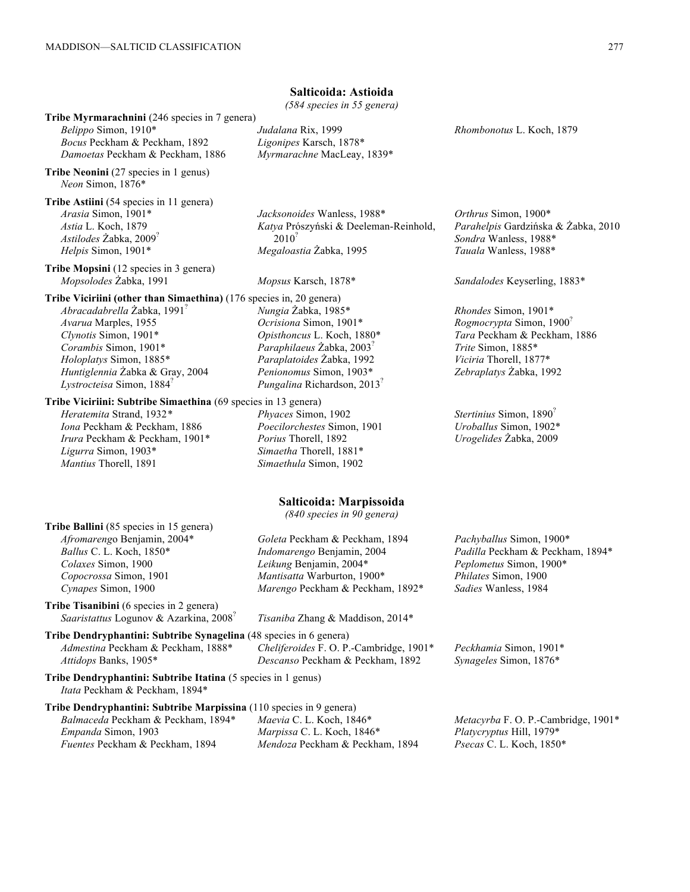| Belippo Simon, 1910*<br>Bocus Peckham & Peckham, 1892<br>Damoetas Peckham & Peckham, 1886                                                                                                                                                                                                       | Tribe Myrmarachnini (246 species in 7 genera)<br>Judalana Rix, 1999<br>Ligonipes Karsch, 1878*<br>Myrmarachne MacLeay, 1839*                                                                                            | Rhombonotus L. Koch, 1879                                                                                                                                               |
|-------------------------------------------------------------------------------------------------------------------------------------------------------------------------------------------------------------------------------------------------------------------------------------------------|-------------------------------------------------------------------------------------------------------------------------------------------------------------------------------------------------------------------------|-------------------------------------------------------------------------------------------------------------------------------------------------------------------------|
| Tribe Neonini (27 species in 1 genus)<br>Neon Simon, 1876*                                                                                                                                                                                                                                      |                                                                                                                                                                                                                         |                                                                                                                                                                         |
| Tribe Astiini (54 species in 11 genera)<br>Arasia Simon, 1901*<br>Astia L. Koch, 1879<br>Astilodes Żabka, 2009 <sup>?</sup><br>Helpis Simon, 1901*                                                                                                                                              | Jacksonoides Wanless, 1988*<br>Katya Prószyński & Deeleman-Reinhold,<br>$2010^2$<br>Megaloastia Żabka, 1995                                                                                                             | Orthrus Simon, 1900*<br>Parahelpis Gardzińska & Żabka, 2010<br>Sondra Wanless, 1988*<br>Tauala Wanless, 1988*                                                           |
| Tribe Mopsini (12 species in 3 genera)<br>Mopsolodes Žabka, 1991                                                                                                                                                                                                                                | Mopsus Karsch, 1878*                                                                                                                                                                                                    | Sandalodes Keyserling, 1883*                                                                                                                                            |
| Tribe Viciriini (other than Simaethina) (176 species in, 20 genera)<br>Abracadabrella Żabka, 1991 <sup>7</sup><br>Avarua Marples, 1955<br>Clynotis Simon, 1901*<br>Corambis Simon, 1901*<br>Holoplatys Simon, 1885*<br>Huntiglennia Żabka & Gray, 2004<br>Lystrocteisa Simon, 1884 <sup>7</sup> | Nungia Żabka, 1985*<br>Ocrisiona Simon, 1901*<br>Opisthoncus L. Koch, 1880*<br>Paraphilaeus Żabka, 2003 <sup>7</sup><br>Paraplatoides Żabka, 1992<br>Penionomus Simon, 1903*<br>Pungalina Richardson, 2013 <sup>7</sup> | Rhondes Simon, 1901*<br>Rogmocrypta Simon, 1900 <sup>?</sup><br>Tara Peckham & Peckham, 1886<br>Trite Simon, 1885*<br>Viciria Thorell, 1877*<br>Zebraplatys Żabka, 1992 |
| Tribe Viciriini: Subtribe Simaethina (69 species in 13 genera)<br>Heratemita Strand, 1932*<br>Iona Peckham & Peckham, 1886<br>Irura Peckham & Peckham, 1901*<br>Ligurra Simon, 1903*<br>Mantius Thorell, 1891                                                                                   | Phyaces Simon, 1902<br>Poecilorchestes Simon, 1901<br>Porius Thorell, 1892<br>Simaetha Thorell, 1881*<br>Simaethula Simon, 1902                                                                                         | Stertinius Simon, 1890 <sup>?</sup><br>Uroballus Simon, 1902*<br>Urogelides Żabka, 2009                                                                                 |
|                                                                                                                                                                                                                                                                                                 | Salticoida: Marpissoida<br>$(840$ species in 90 genera)                                                                                                                                                                 |                                                                                                                                                                         |
| Tribe Ballini (85 species in 15 genera)<br>Afromarengo Benjamin, 2004*<br>Ballus C. L. Koch, 1850*<br>Colaxes Simon, 1900<br>Copocrossa Simon, 1901<br>Cynapes Simon, 1900<br>Tribe Tisanibini (6 species in 2 genera)                                                                          | Goleta Peckham & Peckham, 1894<br>Indomarengo Benjamin, 2004<br>Leikung Benjamin, 2004*<br>Mantisatta Warburton, 1900*<br>Marengo Peckham & Peckham, 1892*                                                              | Pachyballus Simon, 1900*<br>Padilla Peckham & Peckham, 1894*<br>Peplometus Simon, 1900*<br>Philates Simon, 1900<br>Sadies Wanless, 1984                                 |
| Saaristattus Logunov & Azarkina, 2008 <sup>?</sup>                                                                                                                                                                                                                                              | Tisaniba Zhang & Maddison, 2014*                                                                                                                                                                                        |                                                                                                                                                                         |
| Tribe Dendryphantini: Subtribe Synagelina (48 species in 6 genera)<br>Admestina Peckham & Peckham, 1888*<br>Attidops Banks, 1905*                                                                                                                                                               | Cheliferoides F. O. P.-Cambridge, 1901*<br>Descanso Peckham & Peckham, 1892                                                                                                                                             | Peckhamia Simon, 1901*<br>Synageles Simon, 1876*                                                                                                                        |
| Tribe Dendryphantini: Subtribe Itatina (5 species in 1 genus)<br>Itata Peckham & Peckham, 1894*                                                                                                                                                                                                 |                                                                                                                                                                                                                         |                                                                                                                                                                         |
| Tribe Dendryphantini: Subtribe Marpissina (110 species in 9 genera)<br>Balmaceda Peckham & Peckham, 1894*<br>Empanda Simon, 1903                                                                                                                                                                | Maevia C. L. Koch, 1846*<br>Marpissa C. L. Koch, 1846*<br>Mendoza Peckham & Peckham, 1894                                                                                                                               | Metacyrba F. O. P.-Cambridge, 1901*<br>Platycryptus Hill, 1979*<br>Psecas C. L. Koch, 1850*                                                                             |

# **Salticoida: Astioida**

*(584 species in 55 genera)*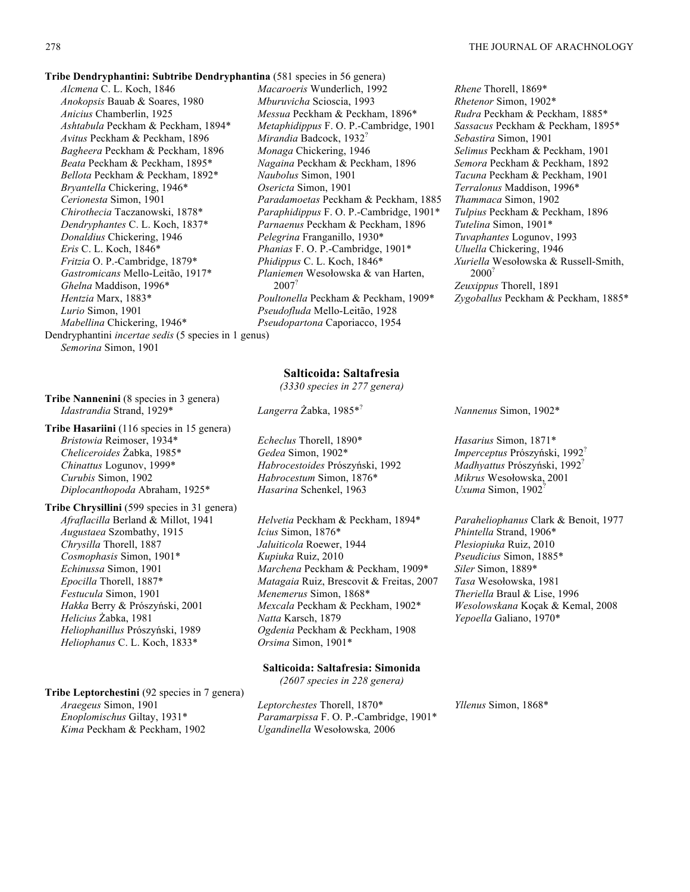*Rhene* Thorell, 1869\*

**Tribe Dendryphantini: Subtribe Dendryphantina** (581 species in 56 genera)

*Alcmena* C. L. Koch, 1846 *Anokopsis* Bauab & Soares, 1980 *Anicius* Chamberlin, 1925 *Ashtabula* Peckham & Peckham, 1894\* *Avitus* Peckham & Peckham, 1896 *Bagheera* Peckham & Peckham, 1896 *Beata* Peckham & Peckham, 1895\* *Bellota* Peckham & Peckham, 1892\* *Bryantella* Chickering, 1946\* *Cerionesta* Simon, 1901 *Chirothecia* Taczanowski, 1878\* *Dendryphantes* C. L. Koch, 1837\* *Donaldius* Chickering, 1946 *Eris* C. L. Koch, 1846\* *Fritzia* O. P.-Cambridge, 1879\* *Gastromicans* Mello-Leitão, 1917\* *Ghelna* Maddison, 1996\* *Hentzia* Marx, 1883\* *Lurio* Simon, 1901 *Mabellina* Chickering, 1946\*

*Macaroeris* Wunderlich, 1992 *Mburuvicha* Scioscia, 1993 *Messua* Peckham & Peckham, 1896\* *Metaphidippus* F. O. P.-Cambridge, 1901 *Mirandia* Badcock, 1932? *Monaga* Chickering, 1946 *Nagaina* Peckham & Peckham, 1896 *Naubolus* Simon, 1901 *Osericta* Simon, 1901 *Paradamoetas* Peckham & Peckham, 1885 *Paraphidippus* F. O. P.-Cambridge, 1901\* *Parnaenus* Peckham & Peckham, 1896 *Pelegrina* Franganillo, 1930\* *Phanias* F. O. P.-Cambridge, 1901\* *Phidippus* C. L. Koch, 1846\* *Planiemen* Wesołowska & van Harten, 2007? *Poultonella* Peckham & Peckham, 1909\* *Pseudofluda* Mello-Leitão, 1928 *Pseudopartona* Caporiacco, 1954

*Rhetenor* Simon, 1902\* *Rudra* Peckham & Peckham, 1885\* *Sassacus* Peckham & Peckham, 1895\* *Sebastira* Simon, 1901 *Selimus* Peckham & Peckham, 1901 *Semora* Peckham & Peckham, 1892 *Tacuna* Peckham & Peckham, 1901 *Terralonus* Maddison, 1996\* *Thammaca* Simon, 1902 *Tulpius* Peckham & Peckham, 1896 *Tutelina* Simon, 1901\* *Tuvaphantes* Logunov, 1993 *Uluella* Chickering, 1946 *Xuriella* Wesołowska & Russell-Smith, 2000? *Zeuxippus* Thorell, 1891 *Zygoballus* Peckham & Peckham, 1885\*

Dendryphantini *incertae sedis* (5 species in 1 genus) *Semorina* Simon, 1901

#### **Tribe Nannenini** (8 species in 3 genera) *Idastrandia* Strand, 1929\* *Langerra* Żabka, 1985\*? *Nannenus* Simon, 1902\*

**Tribe Hasariini** (116 species in 15 genera) *Bristowia* Reimoser, 1934\* *Cheliceroides* Żabka, 1985\* *Chinattus* Logunov, 1999\* *Curubis* Simon, 1902 *Diplocanthopoda* Abraham, 1925\*

**Tribe Chrysillini** (599 species in 31 genera) *Afraflacilla* Berland & Millot, 1941 *Augustaea* Szombathy, 1915 *Chrysilla* Thorell, 1887 *Cosmophasis* Simon, 1901\* *Echinussa* Simon, 1901 *Epocilla* Thorell, 1887\* *Festucula* Simon, 1901 *Hakka* Berry & Prószyński, 2001 *Helicius* Żabka, 1981 *Heliophanillus* Prószyński, 1989 *Heliophanus* C. L. Koch, 1833\*

**Tribe Leptorchestini** (92 species in 7 genera) *Araegeus* Simon, 1901 *Enoplomischus* Giltay, 1931\* *Kima* Peckham & Peckham, 1902

#### **Salticoida: Saltafresia**

*(3330 species in 277 genera)*

*Echeclus* Thorell, 1890\* *Gedea* Simon, 1902\* *Habrocestoides* Prószyński, 1992 *Habrocestum* Simon, 1876\* *Hasarina* Schenkel, 1963

*Helvetia* Peckham & Peckham, 1894\* *Icius* Simon, 1876\* *Jaluiticola* Roewer, 1944 *Kupiuka* Ruiz, 2010 *Marchena* Peckham & Peckham, 1909\* *Matagaia* Ruiz, Brescovit & Freitas, 2007 *Menemerus* Simon, 1868\* *Mexcala* Peckham & Peckham, 1902\* *Natta* Karsch, 1879 *Ogdenia* Peckham & Peckham, 1908 *Orsima* Simon, 1901\*

#### **Salticoida: Saltafresia: Simonida**

*(2607 species in 228 genera)*

*Leptorchestes* Thorell, 1870\* *Paramarpissa* F. O. P.-Cambridge, 1901\* *Ugandinella* Wesołowska*,* 2006

*Hasarius* Simon, 1871\* *Imperceptus* Prószyński, 1992? *Madhyattus* Prószyński, 1992? *Mikrus* Wesołowska, 2001 *Uxuma* Simon, 1902?

*Paraheliophanus* Clark & Benoit, 1977 *Phintella* Strand, 1906\* *Plesiopiuka* Ruiz, 2010 *Pseudicius* Simon, 1885\* *Siler* Simon, 1889\* *Tasa* Wesołowska, 1981 *Theriella* Braul & Lise, 1996 *Wesolowskana* Koçak & Kemal, 2008 *Yepoella* Galiano, 1970\*

*Yllenus* Simon, 1868\*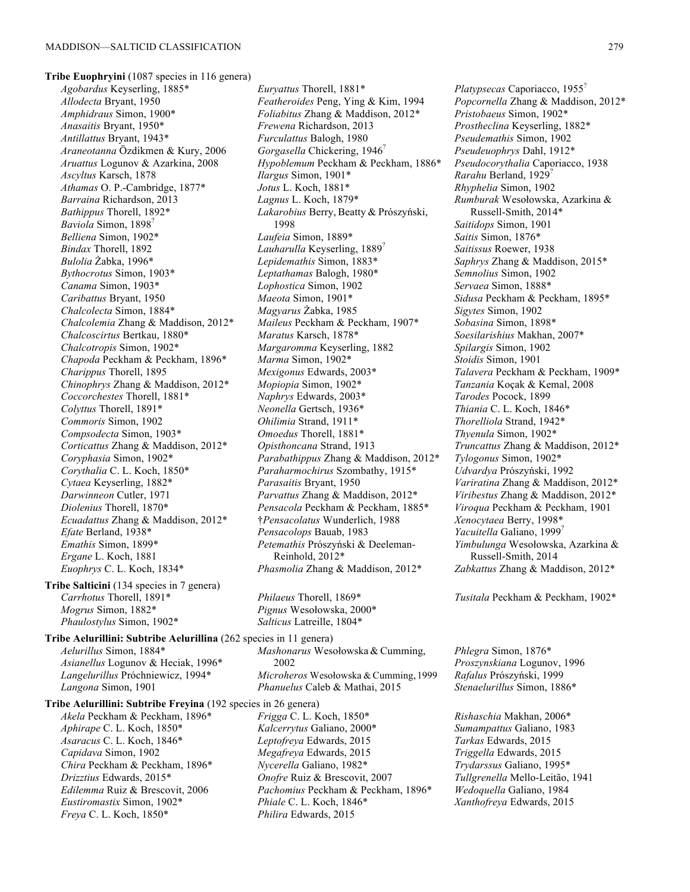**Tribe Euophryini** (1087 species in 116 genera) *Agobardus* Keyserling, 1885\* *Allodecta* Bryant, 1950 *Amphidraus* Simon, 1900\* *Anasaitis* Bryant, 1950\* *Antillattus* Bryant, 1943\* *Araneotanna* Özdikmen & Kury, 2006 *Aruattus* Logunov & Azarkina, 2008 *Ascyltus* Karsch, 1878 *Athamas* O. P.-Cambridge, 1877\* *Barraina* Richardson, 2013 *Bathippus* Thorell, 1892\* *Baviola* Simon, 1898? *Belliena* Simon, 1902\* *Bindax* Thorell, 1892 *Bulolia* Żabka, 1996\* *Bythocrotus* Simon, 1903\* *Canama* Simon, 1903\* *Caribattus* Bryant, 1950 *Chalcolecta* Simon, 1884\* *Chalcolemia* Zhang & Maddison, 2012\* *Chalcoscirtus* Bertkau, 1880\* *Chalcotropis* Simon, 1902\* *Chapoda* Peckham & Peckham, 1896\* *Charippus* Thorell, 1895 *Chinophrys* Zhang & Maddison, 2012\* *Coccorchestes* Thorell, 1881\* *Colyttus* Thorell, 1891\* *Commoris* Simon, 1902 *Compsodecta* Simon, 1903\* *Corticattus* Zhang & Maddison, 2012\* *Coryphasia* Simon, 1902\* *Corythalia* C. L. Koch, 1850\* *Cytaea* Keyserling, 1882\* *Darwinneon* Cutler, 1971 *Diolenius* Thorell, 1870\* *Ecuadattus* Zhang & Maddison, 2012\* *Efate* Berland, 1938\* *Emathis* Simon, 1899\* *Ergane* L. Koch, 1881 *Euophrys* C. L. Koch, 1834\* **Tribe Salticini** (134 species in 7 genera) *Carrhotus* Thorell, 1891\*

*Mogrus* Simon, 1882\* *Phaulostylus* Simon, 1902\*

**Tribe Aelurillini: Subtribe Aelurillina** (262 species in 11 genera) *Aelurillus* Simon, 1884\* *Asianellus* Logunov & Heciak, 1996\* *Langelurillus* Próchniewicz, 1994\* *Langona* Simon, 1901

**Tribe Aelurillini: Subtribe Freyina** (192 species in 26 genera) *Akela* Peckham & Peckham, 1896\* *Aphirape* C. L. Koch, 1850\* *Asaracus* C. L. Koch, 1846\* *Capidava* Simon, 1902 *Chira* Peckham & Peckham, 1896\* *Drizztius* Edwards, 2015\* *Edilemma* Ruiz & Brescovit, 2006

*Eustiromastix* Simon, 1902\* *Freya* C. L. Koch, 1850\*

*Euryattus* Thorell, 1881\* *Featheroides* Peng, Ying & Kim, 1994 *Foliabitus* Zhang & Maddison, 2012\* *Frewena* Richardson, 2013 *Furculattus* Balogh, 1980 *Gorgasella* Chickering, 1946? *Hypoblemum* Peckham & Peckham, 1886\* *Ilargus* Simon, 1901\* *Jotus* L. Koch, 1881\* *Lagnus* L. Koch, 1879\* *Lakarobius* Berry, Beatty & Prószyński, 1998 *Laufeia* Simon, 1889\* *Lauharulla* Keyserling, 1889? *Lepidemathis* Simon, 1883\* *Leptathamas* Balogh, 1980\* *Lophostica* Simon, 1902 *Maeota* Simon, 1901\* *Magyarus* Żabka, 1985 *Maileus* Peckham & Peckham, 1907\* *Maratus* Karsch, 1878\* *Margaromma* Keyserling, 1882 *Marma* Simon, 1902\* *Mexigonus* Edwards, 2003\* *Mopiopia* Simon, 1902\* *Naphrys* Edwards, 2003\* *Neonella* Gertsch, 1936\* *Ohilimia* Strand, 1911\* *Omoedus* Thorell, 1881\* *Opisthoncana* Strand, 1913 *Parabathippus* Zhang & Maddison, 2012\* *Paraharmochirus* Szombathy, 1915\* *Parasaitis* Bryant, 1950 *Parvattus* Zhang & Maddison, 2012\* *Pensacola* Peckham & Peckham, 1885\* †*Pensacolatus* Wunderlich, 1988 *Pensacolops* Bauab, 1983 *Petemathis* Prószyński & Deeleman-Reinhold, 2012\* *Phasmolia* Zhang & Maddison, 2012\*

*Philaeus* Thorell, 1869\* *Pignus* Wesołowska, 2000\* *Salticus* Latreille, 1804\*

*Mashonarus* Wesołowska & Cumming, 2002 *Microheros* Wesołowska & Cumming,1999 *Phanuelus* Caleb & Mathai, 2015

*Frigga* C. L. Koch, 1850\* *Kalcerrytus* Galiano, 2000\* *Leptofreya* Edwards, 2015 *Megafreya* Edwards, 2015 *Nycerella* Galiano, 1982\* *Onofre* Ruiz & Brescovit, 2007 *Pachomius* Peckham & Peckham, 1896\* *Phiale* C. L. Koch, 1846\* *Philira* Edwards, 2015

*Platypsecas* Caporiacco, 1955? *Popcornella* Zhang & Maddison, 2012\* *Pristobaeus* Simon, 1902\* *Prostheclina* Keyserling, 1882\* *Pseudemathis* Simon, 1902 *Pseudeuophrys* Dahl, 1912\* *Pseudocorythalia* Caporiacco, 1938 *Rarahu* Berland, 1929? *Rhyphelia* Simon, 1902 *Rumburak* Wesołowska, Azarkina & Russell-Smith, 2014\* *Saitidops* Simon, 1901 *Saitis* Simon, 1876\* *Saitissus* Roewer, 1938 *Saphrys* Zhang & Maddison, 2015\* *Semnolius* Simon, 1902 *Servaea* Simon, 1888\* *Sidusa* Peckham & Peckham, 1895\* *Sigytes* Simon, 1902 *Sobasina* Simon, 1898\* *Soesilarishius* Makhan, 2007\* *Spilargis* Simon, 1902 *Stoidis* Simon, 1901 *Talavera* Peckham & Peckham, 1909\* *Tanzania* Koçak & Kemal, 2008 *Tarodes* Pocock, 1899 *Thiania* C. L. Koch, 1846\* *Thorelliola* Strand, 1942\* *Thyenula* Simon, 1902\* *Truncattus* Zhang & Maddison, 2012\* *Tylogonus* Simon, 1902\* *Udvardya* Prószyński, 1992 *Variratina* Zhang & Maddison, 2012\* *Viribestus* Zhang & Maddison, 2012\* *Viroqua* Peckham & Peckham, 1901 *Xenocytaea* Berry, 1998\* *Yacuitella* Galiano, 1999? *Yimbulunga* Wesołowska, Azarkina & Russell-Smith, 2014 *Zabkattus* Zhang & Maddison, 2012\*

*Tusitala* Peckham & Peckham, 1902\*

*Phlegra* Simon, 1876\* *Proszynskiana* Logunov, 1996 *Rafalus* Prószyński, 1999 *Stenaelurillus* Simon, 1886\*

*Rishaschia* Makhan, 2006\* *Sumampattus* Galiano, 1983 *Tarkas* Edwards, 2015 *Triggella* Edwards, 2015 *Trydarssus* Galiano, 1995\* *Tullgrenella* Mello-Leitão, 1941 *Wedoquella* Galiano, 1984 *Xanthofreya* Edwards, 2015